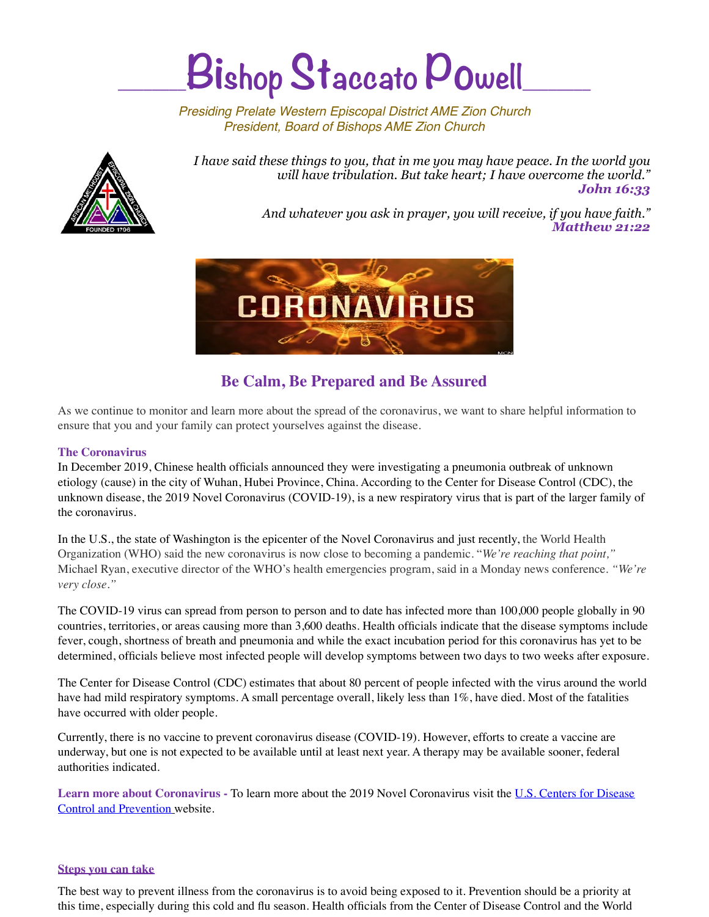# $B$ ishop Staccato Powell

*Presiding Prelate Western Episcopal District AME Zion Church President, Board of Bishops AME Zion Church*



*I have said these things to you, that in me you may have peace. In the world you will have tribulation. But take heart; I have overcome the world." John 16:33* 

> *And whatever you ask in prayer, you will receive, if you have faith." Matthew 21:22*



## **Be Calm, Be Prepared and Be Assured**

As we continue to monitor and learn more about the spread of the coronavirus, we want to share helpful information to ensure that you and your family can protect yourselves against the disease.

## **The Coronavirus**

In December 2019, Chinese health officials announced they were investigating a pneumonia outbreak of unknown etiology (cause) in the city of Wuhan, Hubei Province, China. According to the Center for Disease Control (CDC), the unknown disease, the 2019 Novel Coronavirus (COVID-19), is a new respiratory virus that is part of the larger family of the coronavirus.

In the U.S., the state of Washington is the epicenter of the Novel Coronavirus and just recently, the World Health Organization (WHO) said the new coronavirus is now close to becoming a pandemic. "*We're reaching that point,"*  Michael Ryan, executive director of the WHO's health emergencies program, said in a Monday news conference. *"We're very close."*

The COVID-19 virus can spread from person to person and to date [has infected more than 100,000 people globally in 90](https://www.baltimoresun.com/news/nation-world/ct-nw-coronavirus-outbreak-world-20200302-pcpziawuknfshapeohdowzfiqi-story.html)  [countries, territories, or areas causing more than 3,600 deaths](https://www.baltimoresun.com/news/nation-world/ct-nw-coronavirus-outbreak-world-20200302-pcpziawuknfshapeohdowzfiqi-story.html). Health officials indicate that the disease symptoms include fever, cough, shortness of breath and pneumonia and while the exact incubation period for this coronavirus has yet to be determined, officials believe most infected people will develop symptoms between two days to two weeks after exposure.

The Center for Disease Control (CDC) estimates that about 80 percent of people infected with the virus around the world have had mild respiratory symptoms. A small percentage overall, likely less than 1%, have died. Most of the fatalities have occurred with older people.

Currently, there is no vaccine to prevent coronavirus disease (COVID-19). However, efforts to create a vaccine are underway, but one is not expected to be available until at least next year. A therapy may be available sooner, federal authorities indicated.

**Learn more about Coronavirus -** To learn more about the 2019 Novel Coronavirus visit the [U.S. Centers for Disease](https://www.cdc.gov/coronavirus/2019-ncov/index.html)  [Control and Prevention](https://www.cdc.gov/coronavirus/2019-ncov/index.html) website.

## **Steps you can take**

The best way to prevent illness from the coronavirus is to avoid being exposed to it. Prevention should be a priority at this time, especially during this cold and flu season. Health officials from the Center of Disease Control and the World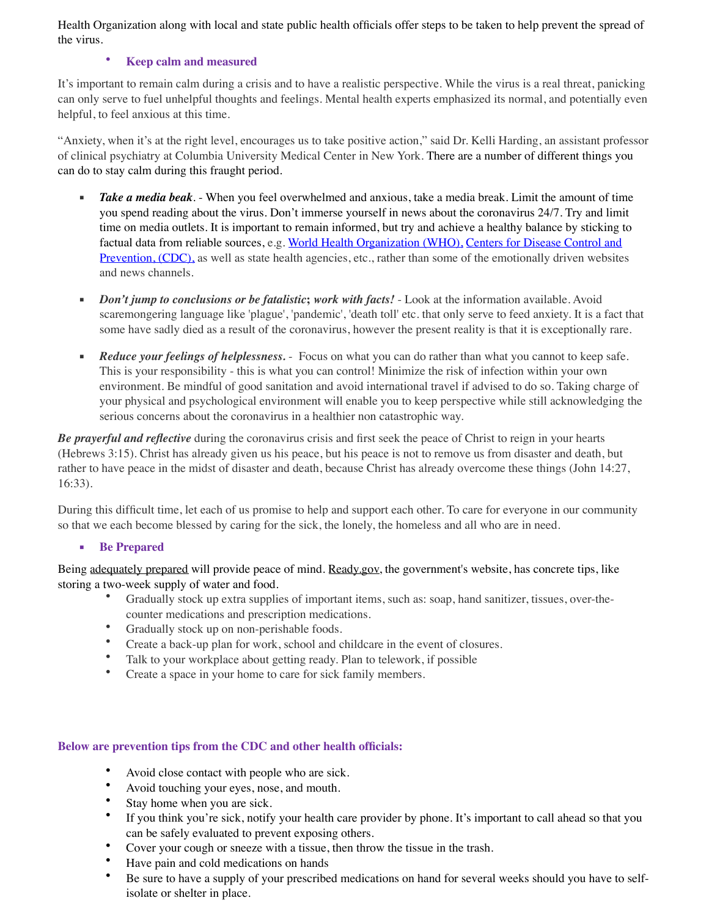Health Organization along with local and state public health officials offer steps to be taken to help prevent the spread of the virus.

## • **Keep calm and measured**

It's important to remain calm during a crisis and to have a realistic perspective. While the virus is a real threat, panicking can only serve to fuel unhelpful thoughts and feelings. Mental health experts emphasized its normal, and potentially even helpful, to feel anxious at this time.

"Anxiety, when it's at the right level, encourages us to take positive action," said Dr. Kelli Harding, an assistant professor of clinical psychiatry at Columbia University Medical Center in New York. There are a number of different things you can do to stay calm during this fraught period.

- *Take a media beak*. When you feel overwhelmed and anxious, take a media break. Limit the amount of time you spend reading about the virus. Don't immerse yourself in news about the coronavirus 24/7. Try and limit time on media outlets. It is important to remain informed, but try and achieve a healthy balance by sticking to factual data from reliable sources, e.g. [World Health Organization \(WHO\),](https://www.who.int/health-topics/coronavirus) [Centers for Disease Control and](https://www.cdc.gov/coronavirus/2019-ncov/index.html)  [Prevention, \(CDC\),](https://www.cdc.gov/coronavirus/2019-ncov/index.html) as well as state health agencies, etc., rather than some of the emotionally driven websites and news channels.
- *Don't jump to conclusions or be fatalistic*; *work with facts!* Look at the information available. Avoid scaremongering language like 'plague', 'pandemic', 'death toll' etc. that only serve to feed anxiety. It is a fact that some have sadly died as a result of the coronavirus, however the present reality is that it is exceptionally rare.
- **Reduce your feelings of helplessness.** Focus on what you can do rather than what you cannot to keep safe. This is your responsibility - this is what you can control! Minimize the risk of infection within your own environment. Be mindful of good sanitation and avoid international travel if advised to do so. Taking charge of your physical and psychological environment will enable you to keep perspective while still acknowledging the serious concerns about the coronavirus in a healthier non catastrophic way.

*Be prayerful and reflective* during the coronavirus crisis and first seek the peace of Christ to reign in your hearts (Hebrews 3:15). Christ has already given us his peace, but his peace is not to remove us from disaster and death, but rather to have peace in the midst of disaster and death, because Christ has already overcome these things (John 14:27, 16:33).

During this difficult time, let each of us promise to help and support each other. To care for everyone in our community so that we each become blessed by caring for the sick, the lonely, the homeless and all who are in need.

## ▪ **Be Prepared**

Being [adequately prepared](https://www.cdc.gov/coronavirus/2019-ncov/index.html) will provide peace of mind. [Ready.gov,](https://www.ready.gov/pandemic) the government's website, has concrete tips, like storing a two-week supply of water and food.

- Gradually stock up extra supplies of important items, such as: soap, hand sanitizer, tissues, over-thecounter medications and prescription medications.
- Gradually stock up on non-perishable foods.
- Create a back-up plan for work, school and childcare in the event of closures.
- Talk to your workplace about getting ready. Plan to telework, if possible
- Create a space in your home to care for sick family members.

## **Below are prevention tips from the CDC and other health officials:**

- Avoid close contact with people who are sick.
- Avoid touching your eyes, nose, and mouth.
- Stay home when you are sick.<br>• If you think you're sick notify
- If you think you're sick, notify your health care provider by phone. It's important to call ahead so that you can be safely evaluated to prevent exposing others.
- Cover your cough or sneeze with a tissue, then throw the tissue in the trash.
- Have pain and cold medications on hands
- Be sure to have a supply of your prescribed medications on hand for several weeks should you have to selfisolate or shelter in place.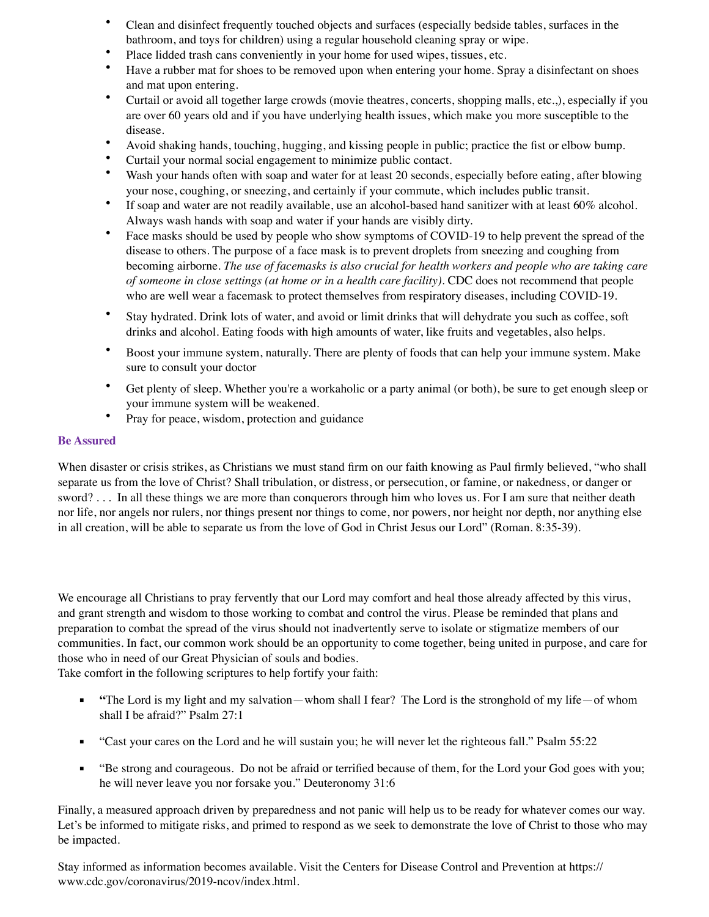- Clean and disinfect frequently touched objects and surfaces (especially bedside tables, surfaces in the bathroom, and toys for children) using a regular household cleaning spray or wipe.
- Place lidded trash cans conveniently in your home for used wipes, tissues, etc.
- Have a rubber mat for shoes to be removed upon when entering your home. Spray a disinfectant on shoes and mat upon entering.
- Curtail or avoid all together large crowds (movie theatres, concerts, shopping malls, etc.,), especially if you are over 60 years old and if you have underlying health issues, which make you more susceptible to the disease.
- Avoid shaking hands, touching, hugging, and kissing people in public; practice the fist or elbow bump.
- Curtail your normal social engagement to minimize public contact.<br>• Wash your hands often with soan and water for at least 20 seconds
- Wash your hands often with soap and water for at least 20 seconds, especially before eating, after blowing your nose, coughing, or sneezing, and certainly if your commute, which includes public transit.
- If soap and water are not readily available, use an alcohol-based hand sanitizer with at least 60% alcohol. Always wash hands with soap and water if your hands are visibly dirty.
- Face masks should be used by people who show symptoms of COVID-19 to help prevent the spread of the disease to others. The purpose of a face mask is to prevent droplets from sneezing and coughing from becoming airborne. *The use of facemasks is also crucial for health workers and people who are taking care of someone in close settings (at home or in a health care facility)*. CDC does not recommend that people who are well wear a facemask to protect themselves from respiratory diseases, including COVID-19.
- Stay hydrated. Drink lots of water, and avoid or limit drinks that will dehydrate you such as coffee, soft drinks and alcohol. Eating foods with high amounts of water, like fruits and vegetables, also helps.
- Boost your immune system, naturally. There are plenty of foods that can help your immune system. Make sure to consult your doctor
- Get plenty of sleep. Whether you're a workaholic or a party animal (or both), be sure to get enough sleep or your immune system will be weakened.
- Pray for peace, wisdom, protection and guidance

#### **Be Assured**

When disaster or crisis strikes, as Christians we must stand firm on our faith knowing as Paul firmly believed, "who shall separate us from the love of Christ? Shall tribulation, or distress, or persecution, or famine, or nakedness, or danger or sword? . . . In all these things we are more than conquerors through him who loves us. For I am sure that neither death nor life, nor angels nor rulers, nor things present nor things to come, nor powers, nor height nor depth, nor anything else in all creation, will be able to separate us from the love of God in Christ Jesus our Lord" (Roman. 8:35-39).

We encourage all Christians to pray fervently that our Lord may comfort and heal those already affected by this virus, and grant strength and wisdom to those working to combat and control the virus. Please be reminded that plans and preparation to combat the spread of the virus should not inadvertently serve to isolate or stigmatize members of our communities. In fact, our common work should be an opportunity to come together, being united in purpose, and care for those who in need of our Great Physician of souls and bodies.

Take comfort in the following scriptures to help fortify your faith:

- **"**The Lord is my light and my salvation—whom shall I fear? The Lord is the stronghold of my life—of whom shall I be afraid?" Psalm 27:1
- "Cast your cares on the Lord and he will sustain you; he will never let the righteous fall." Psalm 55:22
- "Be strong and courageous. Do not be afraid or terrified because of them, for the Lord your God goes with you; he will never leave you nor forsake you." Deuteronomy 31:6

Finally, a measured approach driven by preparedness and not panic will help us to be ready for whatever comes our way. Let's be informed to mitigate risks, and primed to respond as we seek to demonstrate the love of Christ to those who may be impacted.

Stay informed as information becomes available. Visit the Centers for Disease Control and Prevention at https:// www.cdc.gov/coronavirus/2019-ncov/index.html.